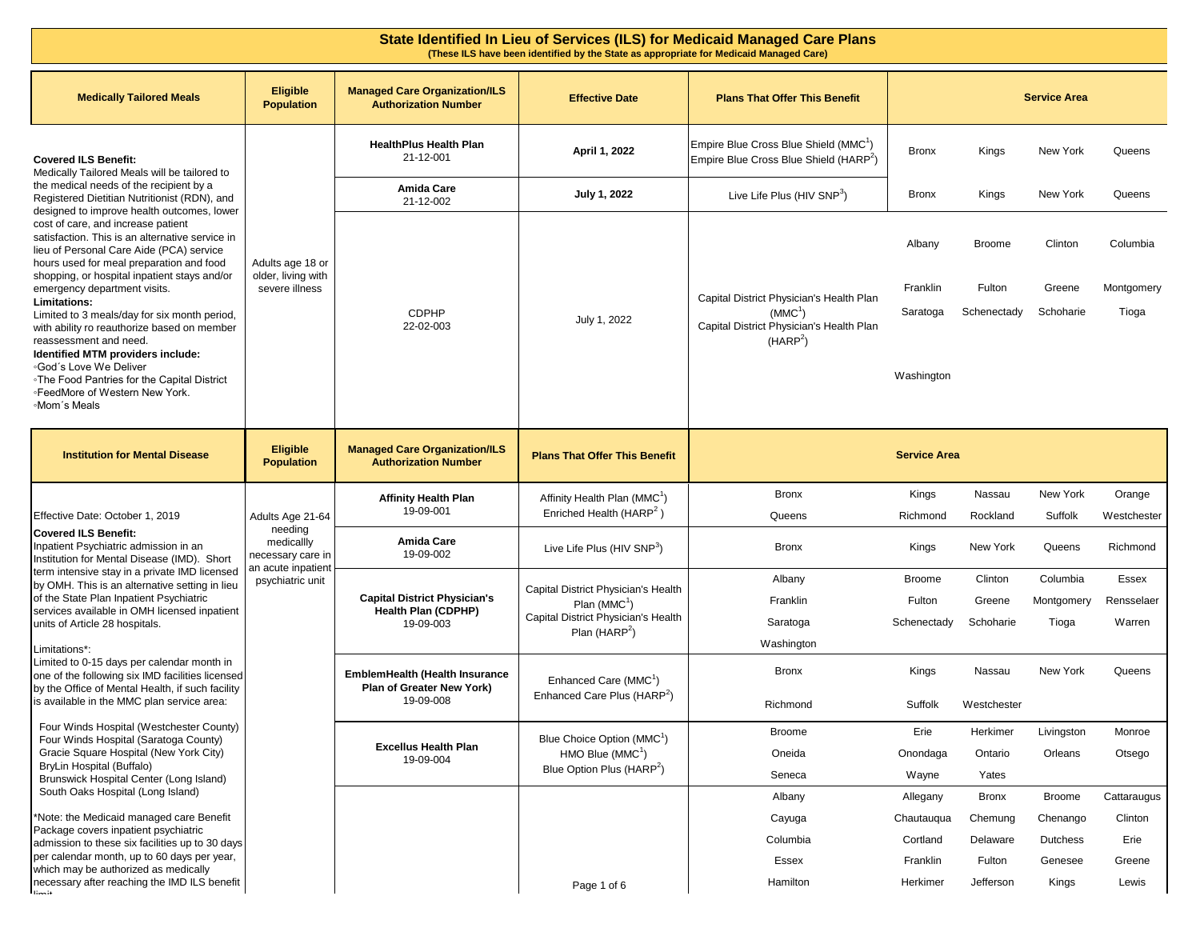| <b>State Identified In Lieu of Services (ILS) for Medicaid Managed Care Plans</b><br>(These ILS have been identified by the State as appropriate for Medicaid Managed Care)                                                                                                                                                                                                                                                                                                                                                                                                                                                                                                                                                                                                                           |                                                                                                          |                                                                                 |                                                                                                                            |                                                                                                                           |                      |                       |                     |                       |  |
|-------------------------------------------------------------------------------------------------------------------------------------------------------------------------------------------------------------------------------------------------------------------------------------------------------------------------------------------------------------------------------------------------------------------------------------------------------------------------------------------------------------------------------------------------------------------------------------------------------------------------------------------------------------------------------------------------------------------------------------------------------------------------------------------------------|----------------------------------------------------------------------------------------------------------|---------------------------------------------------------------------------------|----------------------------------------------------------------------------------------------------------------------------|---------------------------------------------------------------------------------------------------------------------------|----------------------|-----------------------|---------------------|-----------------------|--|
| <b>Medically Tailored Meals</b>                                                                                                                                                                                                                                                                                                                                                                                                                                                                                                                                                                                                                                                                                                                                                                       | <b>Eligible</b><br><b>Population</b>                                                                     | <b>Managed Care Organization/ILS</b><br><b>Authorization Number</b>             | <b>Effective Date</b>                                                                                                      | <b>Plans That Offer This Benefit</b>                                                                                      | <b>Service Area</b>  |                       |                     |                       |  |
| <b>Covered ILS Benefit:</b><br>Medically Tailored Meals will be tailored to<br>the medical needs of the recipient by a<br>Registered Dietitian Nutritionist (RDN), and<br>designed to improve health outcomes, lower<br>cost of care, and increase patient<br>satisfaction. This is an alternative service in<br>lieu of Personal Care Aide (PCA) service<br>hours used for meal preparation and food<br>shopping, or hospital inpatient stays and/or<br>emergency department visits.<br><b>Limitations:</b><br>Limited to 3 meals/day for six month period,<br>with ability ro reauthorize based on member<br>reassessment and need.<br>Identified MTM providers include:<br>∘God´s Love We Deliver<br>∘The Food Pantries for the Capital District<br>∘FeedMore of Western New York.<br>∘Mom´s Meals | Adults age 18 or<br>older, living with<br>severe illness                                                 | <b>HealthPlus Health Plan</b><br>21-12-001                                      | April 1, 2022                                                                                                              | Empire Blue Cross Blue Shield (MMC <sup>1</sup> )<br>Empire Blue Cross Blue Shield (HARP <sup>2</sup> )                   | <b>Bronx</b>         | Kings                 | New York            | Queens                |  |
|                                                                                                                                                                                                                                                                                                                                                                                                                                                                                                                                                                                                                                                                                                                                                                                                       |                                                                                                          | Amida Care<br>21-12-002                                                         | July 1, 2022                                                                                                               | Live Life Plus (HIV SNP <sup>3</sup> )                                                                                    | <b>Bronx</b>         | Kings                 | New York            | Queens                |  |
|                                                                                                                                                                                                                                                                                                                                                                                                                                                                                                                                                                                                                                                                                                                                                                                                       |                                                                                                          | <b>CDPHP</b><br>22-02-003                                                       | July 1, 2022                                                                                                               |                                                                                                                           | Albany               | <b>Broome</b>         | Clinton             | Columbia              |  |
|                                                                                                                                                                                                                                                                                                                                                                                                                                                                                                                                                                                                                                                                                                                                                                                                       |                                                                                                          |                                                                                 |                                                                                                                            | Capital District Physician's Health Plan<br>$(MMC^1)$<br>Capital District Physician's Health Plan<br>(HARP <sup>2</sup> ) | Franklin<br>Saratoga | Fulton<br>Schenectady | Greene<br>Schoharie | Montgomery<br>Tioga   |  |
|                                                                                                                                                                                                                                                                                                                                                                                                                                                                                                                                                                                                                                                                                                                                                                                                       |                                                                                                          |                                                                                 |                                                                                                                            |                                                                                                                           | Washington           |                       |                     |                       |  |
| <b>Institution for Mental Disease</b>                                                                                                                                                                                                                                                                                                                                                                                                                                                                                                                                                                                                                                                                                                                                                                 | <b>Eligible</b><br><b>Population</b>                                                                     | <b>Managed Care Organization/ILS</b><br><b>Authorization Number</b>             | <b>Plans That Offer This Benefit</b>                                                                                       |                                                                                                                           | <b>Service Area</b>  |                       |                     |                       |  |
| Effective Date: October 1, 2019<br><b>Covered ILS Benefit:</b><br>Inpatient Psychiatric admission in an<br>Institution for Mental Disease (IMD). Short<br>term intensive stay in a private IMD licensed<br>by OMH. This is an alternative setting in lieu<br>of the State Plan Inpatient Psychiatric<br>services available in OMH licensed inpatient<br>units of Article 28 hospitals.<br>Limitations*:<br>Limited to 0-15 days per calendar month in<br>one of the following six IMD facilities licensed<br>by the Office of Mental Health, if such facility<br>is available in the MMC plan service area:                                                                                                                                                                                           | Adults Age 21-64<br>needing<br>medicallly<br>necessary care in<br>an acute inpatient<br>psychiatric unit | <b>Affinity Health Plan</b><br>19-09-001                                        | Affinity Health Plan (MMC <sup>1</sup> )<br>Enriched Health (HARP <sup>2</sup> )                                           | <b>Bronx</b><br>Queens                                                                                                    | Kings<br>Richmond    | Nassau<br>Rockland    | New York<br>Suffolk | Orange<br>Westchester |  |
|                                                                                                                                                                                                                                                                                                                                                                                                                                                                                                                                                                                                                                                                                                                                                                                                       |                                                                                                          | Amida Care<br>19-09-002                                                         | Live Life Plus (HIV SNP <sup>3</sup> )                                                                                     | <b>Bronx</b>                                                                                                              | Kings                | New York              | Queens              | Richmond              |  |
|                                                                                                                                                                                                                                                                                                                                                                                                                                                                                                                                                                                                                                                                                                                                                                                                       |                                                                                                          | <b>Capital District Physician's</b><br>Health Plan (CDPHP)<br>19-09-003         | Capital District Physician's Health<br>Plan ( $MMC1$ )<br>Capital District Physician's Health<br>Plan (HARP <sup>2</sup> ) | Albany                                                                                                                    | <b>Broome</b>        | Clinton               | Columbia            | Essex                 |  |
|                                                                                                                                                                                                                                                                                                                                                                                                                                                                                                                                                                                                                                                                                                                                                                                                       |                                                                                                          |                                                                                 |                                                                                                                            | Franklin                                                                                                                  | Fulton               | Greene                | Montgomery          | Rensselaer            |  |
|                                                                                                                                                                                                                                                                                                                                                                                                                                                                                                                                                                                                                                                                                                                                                                                                       |                                                                                                          |                                                                                 |                                                                                                                            | Saratoga                                                                                                                  | Schenectady          | Schoharie             | Tioga               | Warren                |  |
|                                                                                                                                                                                                                                                                                                                                                                                                                                                                                                                                                                                                                                                                                                                                                                                                       |                                                                                                          |                                                                                 |                                                                                                                            | Washington                                                                                                                |                      |                       |                     |                       |  |
|                                                                                                                                                                                                                                                                                                                                                                                                                                                                                                                                                                                                                                                                                                                                                                                                       |                                                                                                          | <b>EmblemHealth (Health Insurance</b><br>Plan of Greater New York)<br>19-09-008 | Enhanced Care (MMC <sup>1</sup> )<br>Enhanced Care Plus (HARP <sup>2</sup> )                                               | <b>Bronx</b>                                                                                                              | Kings                | Nassau                | New York            | Queens                |  |
|                                                                                                                                                                                                                                                                                                                                                                                                                                                                                                                                                                                                                                                                                                                                                                                                       |                                                                                                          |                                                                                 |                                                                                                                            | Richmond                                                                                                                  | Suffolk              | Westchester           |                     |                       |  |
| Four Winds Hospital (Westchester County)<br>Four Winds Hospital (Saratoga County)<br>Gracie Square Hospital (New York City)<br>BryLin Hospital (Buffalo)<br>Brunswick Hospital Center (Long Island)<br>South Oaks Hospital (Long Island)                                                                                                                                                                                                                                                                                                                                                                                                                                                                                                                                                              |                                                                                                          | <b>Excellus Health Plan</b><br>19-09-004                                        | Blue Choice Option (MMC <sup>1</sup> )<br>$HMO$ Blue ( $MMC1$ )<br>Blue Option Plus (HARP <sup>2</sup> )                   | <b>Broome</b>                                                                                                             | Erie                 | Herkimer              | Livingston          | Monroe                |  |
|                                                                                                                                                                                                                                                                                                                                                                                                                                                                                                                                                                                                                                                                                                                                                                                                       |                                                                                                          |                                                                                 |                                                                                                                            | Oneida                                                                                                                    | Onondaga             | Ontario               | Orleans             | Otsego                |  |
|                                                                                                                                                                                                                                                                                                                                                                                                                                                                                                                                                                                                                                                                                                                                                                                                       |                                                                                                          |                                                                                 |                                                                                                                            | Seneca                                                                                                                    | Wayne                | Yates                 |                     |                       |  |
|                                                                                                                                                                                                                                                                                                                                                                                                                                                                                                                                                                                                                                                                                                                                                                                                       |                                                                                                          |                                                                                 |                                                                                                                            | Albany                                                                                                                    | Allegany             | <b>Bronx</b>          | <b>Broome</b>       | Cattaraugus           |  |
| *Note: the Medicaid managed care Benefit<br>Package covers inpatient psychiatric<br>admission to these six facilities up to 30 days<br>per calendar month, up to 60 days per year,<br>which may be authorized as medically                                                                                                                                                                                                                                                                                                                                                                                                                                                                                                                                                                            |                                                                                                          |                                                                                 |                                                                                                                            | Cayuga                                                                                                                    | Chautauqua           | Chemung               | Chenango            | Clinton               |  |
|                                                                                                                                                                                                                                                                                                                                                                                                                                                                                                                                                                                                                                                                                                                                                                                                       |                                                                                                          |                                                                                 |                                                                                                                            | Columbia                                                                                                                  | Cortland             | Delaware              | Dutchess            | Erie                  |  |
|                                                                                                                                                                                                                                                                                                                                                                                                                                                                                                                                                                                                                                                                                                                                                                                                       |                                                                                                          |                                                                                 |                                                                                                                            | Essex                                                                                                                     | Franklin             | Fulton                | Genesee             | Greene                |  |
| necessary after reaching the IMD ILS benefit                                                                                                                                                                                                                                                                                                                                                                                                                                                                                                                                                                                                                                                                                                                                                          |                                                                                                          |                                                                                 | Page 1 of 6                                                                                                                | Hamilton                                                                                                                  | Herkimer             | Jefferson             | Kings               | Lewis                 |  |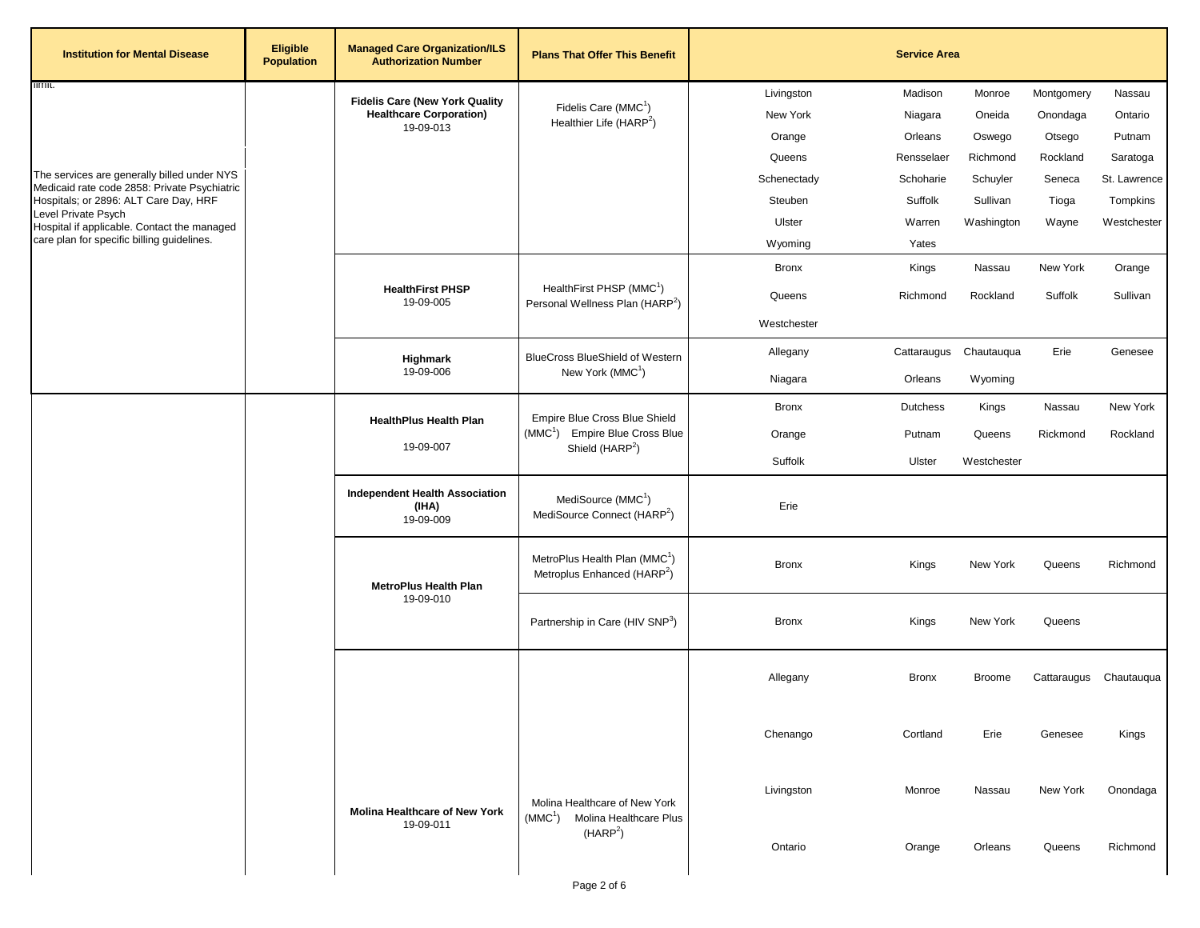| <b>Institution for Mental Disease</b>                                                       | Eligible<br><b>Population</b> | <b>Managed Care Organization/ILS</b><br><b>Authorization Number</b>                  | <b>Plans That Offer This Benefit</b>                                                                       |              | <b>Service Area</b> |               |            |                        |
|---------------------------------------------------------------------------------------------|-------------------------------|--------------------------------------------------------------------------------------|------------------------------------------------------------------------------------------------------------|--------------|---------------------|---------------|------------|------------------------|
| limit.                                                                                      |                               | <b>Fidelis Care (New York Quality</b><br><b>Healthcare Corporation)</b><br>19-09-013 | Fidelis Care (MMC <sup>1</sup> )<br>Healthier Life (HARP <sup>2</sup> )                                    | Livingston   | Madison             | Monroe        | Montgomery | Nassau                 |
|                                                                                             |                               |                                                                                      |                                                                                                            | New York     | Niagara             | Oneida        | Onondaga   | Ontario                |
|                                                                                             |                               |                                                                                      |                                                                                                            | Orange       | Orleans             | Oswego        | Otsego     | Putnam                 |
|                                                                                             |                               |                                                                                      |                                                                                                            | Queens       | Rensselaer          | Richmond      | Rockland   | Saratoga               |
| The services are generally billed under NYS<br>Medicaid rate code 2858: Private Psychiatric |                               |                                                                                      |                                                                                                            | Schenectady  | Schoharie           | Schuyler      | Seneca     | St. Lawrence           |
| Hospitals; or 2896: ALT Care Day, HRF                                                       |                               |                                                                                      |                                                                                                            | Steuben      | Suffolk             | Sullivan      | Tioga      | Tompkins               |
| Level Private Psych<br>Hospital if applicable. Contact the managed                          |                               |                                                                                      |                                                                                                            | Ulster       | Warren              | Washington    | Wayne      | Westchester            |
| care plan for specific billing guidelines.                                                  |                               |                                                                                      |                                                                                                            | Wyoming      | Yates               |               |            |                        |
|                                                                                             |                               | <b>HealthFirst PHSP</b><br>19-09-005                                                 | HealthFirst PHSP (MMC <sup>1</sup> )<br>Personal Wellness Plan (HARP <sup>2</sup> )                        | <b>Bronx</b> | Kings               | Nassau        | New York   | Orange                 |
|                                                                                             |                               |                                                                                      |                                                                                                            | Queens       | Richmond            | Rockland      | Suffolk    | Sullivan               |
|                                                                                             |                               |                                                                                      |                                                                                                            | Westchester  |                     |               |            |                        |
|                                                                                             |                               | Highmark<br>19-09-006                                                                | <b>BlueCross BlueShield of Western</b><br>New York (MMC <sup>1</sup> )                                     | Allegany     | Cattaraugus         | Chautauqua    | Erie       | Genesee                |
|                                                                                             |                               |                                                                                      |                                                                                                            | Niagara      | Orleans             | Wyoming       |            |                        |
|                                                                                             |                               | <b>HealthPlus Health Plan</b><br>19-09-007                                           | Empire Blue Cross Blue Shield<br>(MMC <sup>1</sup> ) Empire Blue Cross Blue<br>Shield (HARP <sup>2</sup> ) | <b>Bronx</b> | <b>Dutchess</b>     | Kings         | Nassau     | New York               |
|                                                                                             |                               |                                                                                      |                                                                                                            | Orange       | Putnam              | Queens        | Rickmond   | Rockland               |
|                                                                                             |                               |                                                                                      |                                                                                                            | Suffolk      | Ulster              | Westchester   |            |                        |
|                                                                                             |                               | <b>Independent Health Association</b><br>(IHA)<br>19-09-009                          | MediSource (MMC <sup>1</sup> )<br>MediSource Connect (HARP <sup>2</sup> )                                  | Erie         |                     |               |            |                        |
|                                                                                             |                               | <b>MetroPlus Health Plan</b><br>19-09-010                                            | MetroPlus Health Plan (MMC <sup>1</sup> )<br>Metroplus Enhanced (HARP <sup>2</sup> )                       | <b>Bronx</b> | Kings               | New York      | Queens     | Richmond               |
|                                                                                             |                               |                                                                                      | Partnership in Care (HIV SNP <sup>3</sup> )                                                                | <b>Bronx</b> | Kings               | New York      | Queens     |                        |
|                                                                                             |                               |                                                                                      |                                                                                                            | Allegany     | <b>Bronx</b>        | <b>Broome</b> |            | Cattaraugus Chautauqua |
|                                                                                             |                               |                                                                                      |                                                                                                            | Chenango     | Cortland            | Erie          | Genesee    | Kings                  |
|                                                                                             |                               | <b>Molina Healthcare of New York</b><br>19-09-011                                    | Molina Healthcare of New York<br>Molina Healthcare Plus<br>$(MMC^1)$<br>(HARP <sup>2</sup> )               | Livingston   | Monroe              | Nassau        | New York   | Onondaga               |
|                                                                                             |                               |                                                                                      |                                                                                                            | Ontario      | Orange              | Orleans       | Queens     | Richmond               |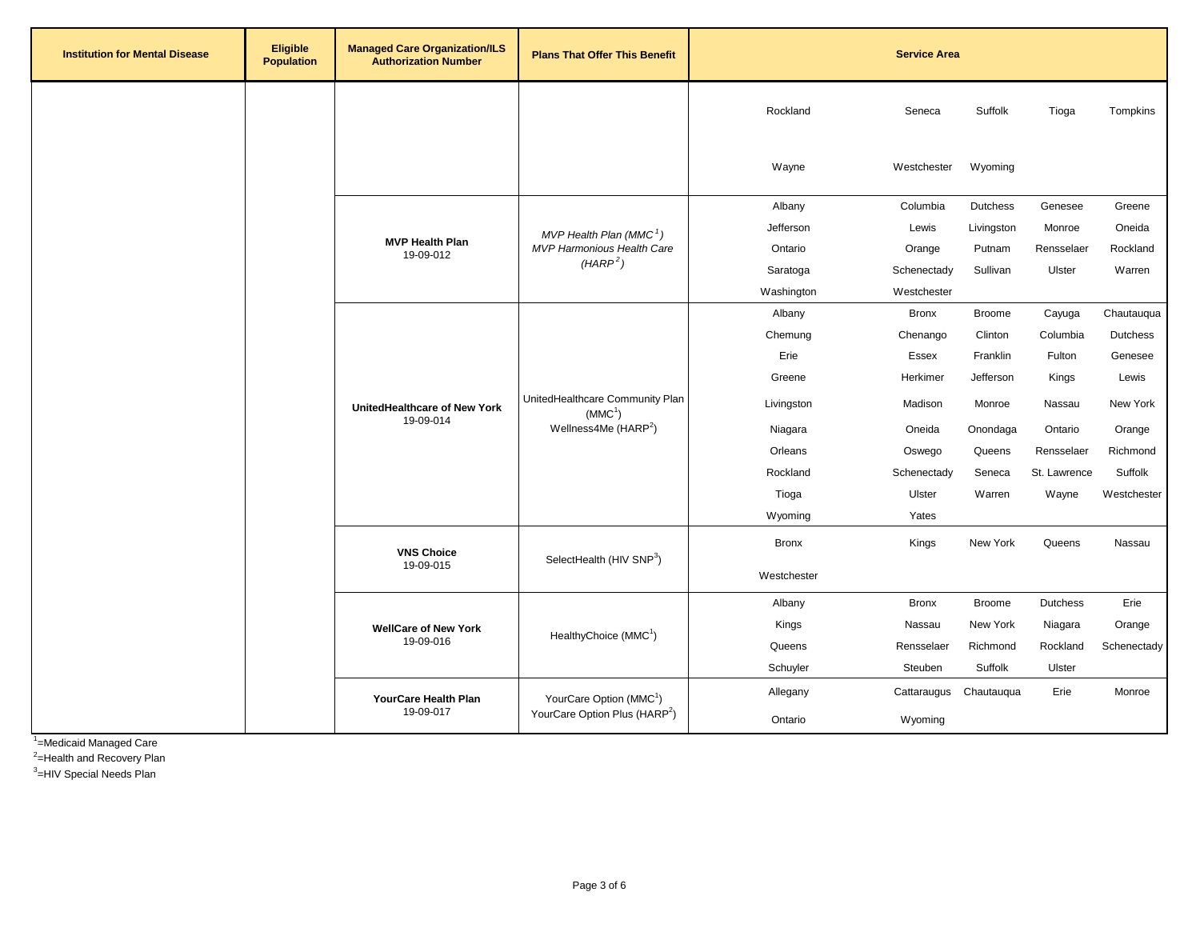| <b>Institution for Mental Disease</b> | <b>Eligible</b><br><b>Population</b> | <b>Managed Care Organization/ILS</b><br><b>Authorization Number</b> | <b>Plans That Offer This Benefit</b>                                                       | <b>Service Area</b> |              |                 |                 |                 |
|---------------------------------------|--------------------------------------|---------------------------------------------------------------------|--------------------------------------------------------------------------------------------|---------------------|--------------|-----------------|-----------------|-----------------|
|                                       |                                      |                                                                     |                                                                                            | Rockland            | Seneca       | Suffolk         | Tioga           | Tompkins        |
|                                       |                                      |                                                                     |                                                                                            | Wayne               | Westchester  | Wyoming         |                 |                 |
|                                       |                                      | <b>MVP Health Plan</b><br>19-09-012                                 | MVP Health Plan (MMC $1$ )<br><b>MVP Harmonious Health Care</b><br>(HARP <sup>2</sup> )    | Albany              | Columbia     | <b>Dutchess</b> | Genesee         | Greene          |
|                                       |                                      |                                                                     |                                                                                            | Jefferson           | Lewis        | Livingston      | Monroe          | Oneida          |
|                                       |                                      |                                                                     |                                                                                            | Ontario             | Orange       | Putnam          | Rensselaer      | Rockland        |
|                                       |                                      |                                                                     |                                                                                            | Saratoga            | Schenectady  | Sullivan        | Ulster          | Warren          |
|                                       |                                      |                                                                     |                                                                                            | Washington          | Westchester  |                 |                 |                 |
|                                       |                                      |                                                                     |                                                                                            | Albany              | <b>Bronx</b> | <b>Broome</b>   | Cayuga          | Chautauqua      |
|                                       |                                      |                                                                     |                                                                                            | Chemung             | Chenango     | Clinton         | Columbia        | <b>Dutchess</b> |
|                                       |                                      |                                                                     |                                                                                            | Erie                | Essex        | Franklin        | Fulton          | Genesee         |
|                                       |                                      |                                                                     | Greene                                                                                     | Herkimer            | Jefferson    | Kings           | Lewis           |                 |
|                                       |                                      | UnitedHealthcare of New York<br>19-09-014                           | UnitedHealthcare Community Plan<br>(MMC <sup>1</sup> )<br>Wellness4Me (HARP <sup>2</sup> ) | Livingston          | Madison      | Monroe          | Nassau          | New York        |
|                                       |                                      |                                                                     |                                                                                            | Niagara             | Oneida       | Onondaga        | Ontario         | Orange          |
|                                       |                                      |                                                                     |                                                                                            | Orleans             | Oswego       | Queens          | Rensselaer      | Richmond        |
|                                       |                                      |                                                                     |                                                                                            | Rockland            | Schenectady  | Seneca          | St. Lawrence    | Suffolk         |
|                                       |                                      |                                                                     | Tioga                                                                                      | Ulster              | Warren       | Wayne           | Westchester     |                 |
|                                       |                                      |                                                                     |                                                                                            | Wyoming             | Yates        |                 |                 |                 |
|                                       |                                      | <b>VNS Choice</b>                                                   | SelectHealth (HIV SNP <sup>3</sup> )                                                       | <b>Bronx</b>        | Kings        | New York        | Queens          | Nassau          |
|                                       | 19-09-015                            |                                                                     | Westchester                                                                                |                     |              |                 |                 |                 |
|                                       |                                      | <b>WellCare of New York</b>                                         | HealthyChoice (MMC <sup>1</sup> )                                                          | Albany              | <b>Bronx</b> | Broome          | <b>Dutchess</b> | Erie            |
|                                       |                                      |                                                                     |                                                                                            | Kings               | Nassau       | New York        | Niagara         | Orange          |
|                                       |                                      | 19-09-016                                                           |                                                                                            | Queens              | Rensselaer   | Richmond        | Rockland        | Schenectady     |
|                                       |                                      |                                                                     |                                                                                            | Schuyler            | Steuben      | Suffolk         | Ulster          |                 |
|                                       |                                      | YourCare Health Plan                                                | YourCare Option (MMC <sup>1</sup> )                                                        | Allegany            | Cattaraugus  | Chautauqua      | Erie            | Monroe          |
|                                       | 19-09-017                            | YourCare Option Plus (HARP <sup>2</sup> )                           | Ontario                                                                                    | Wyoming             |              |                 |                 |                 |

<sup>1</sup>=Medicaid Managed Care

<sup>2</sup>=Health and Recovery Plan

<sup>3</sup>=HIV Special Needs Plan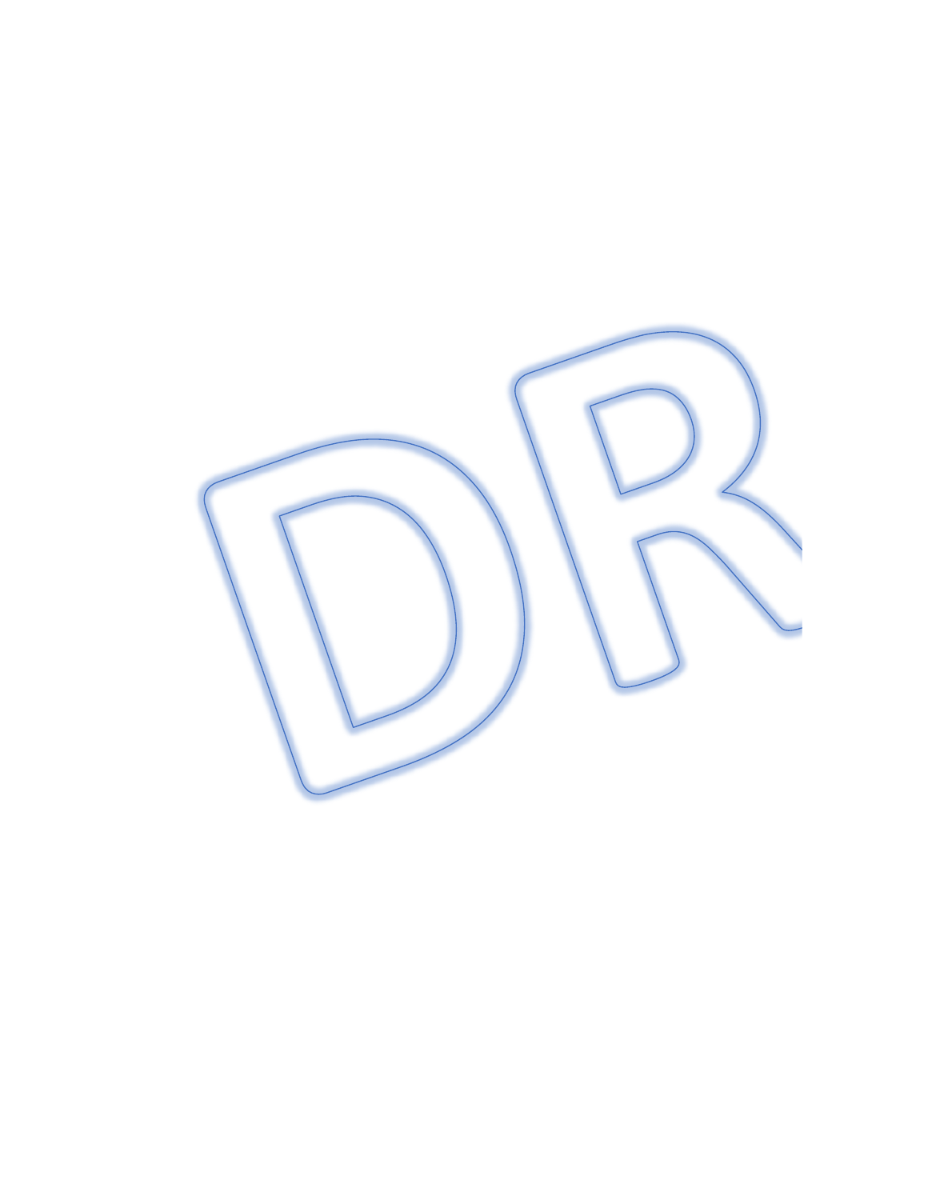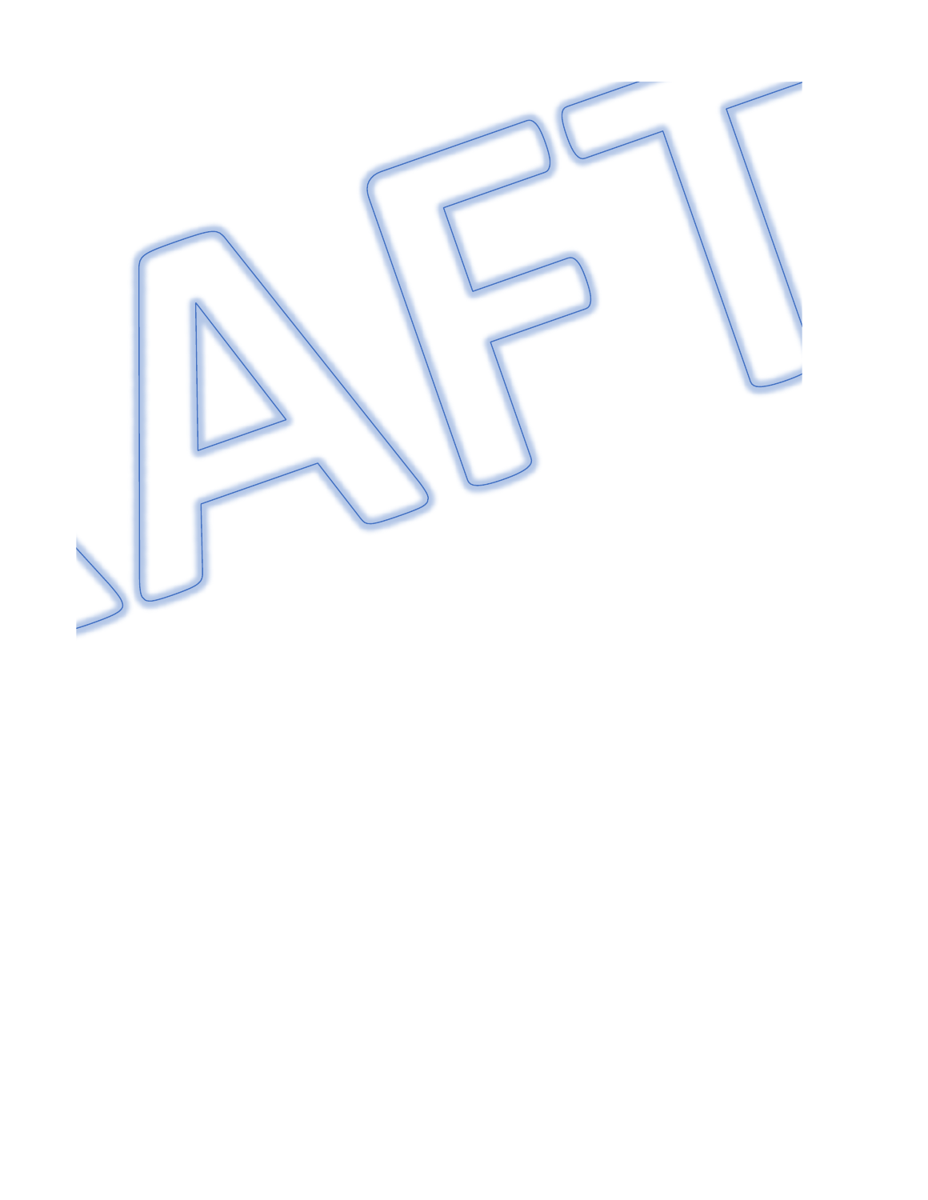